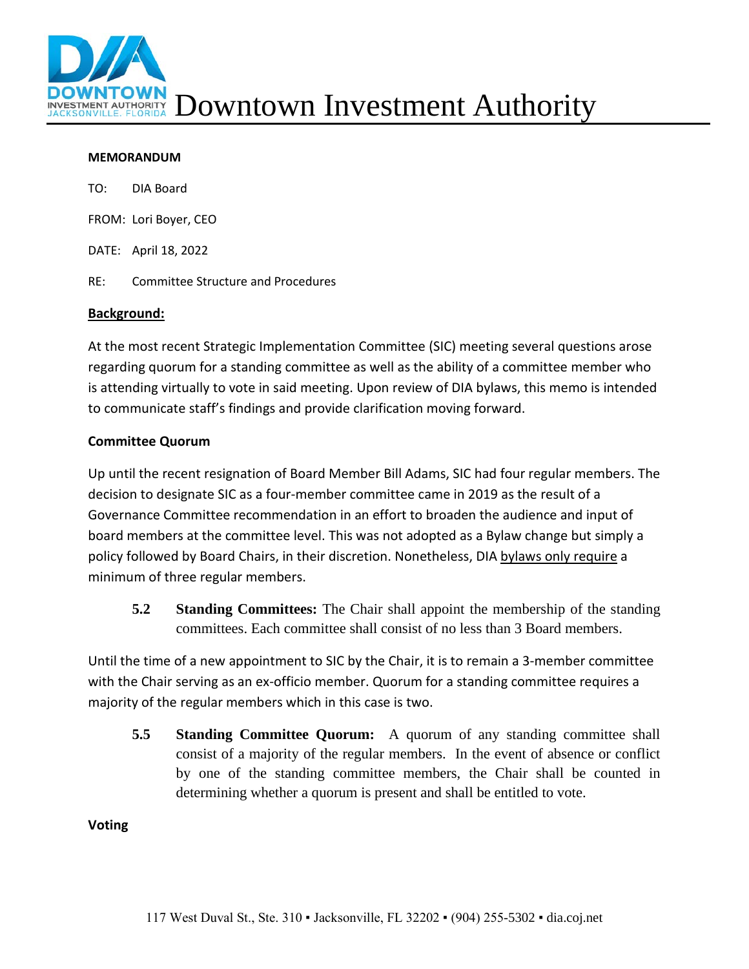

## **MEMORANDUM**

|     | TO: DIA Board                             |
|-----|-------------------------------------------|
|     | FROM: Lori Boyer, CEO                     |
|     | DATE: April 18, 2022                      |
| RE: | <b>Committee Structure and Procedures</b> |
|     |                                           |

## **Background:**

At the most recent Strategic Implementation Committee (SIC) meeting several questions arose regarding quorum for a standing committee as well as the ability of a committee member who is attending virtually to vote in said meeting. Upon review of DIA bylaws, this memo is intended to communicate staff's findings and provide clarification moving forward.

## **Committee Quorum**

Up until the recent resignation of Board Member Bill Adams, SIC had four regular members. The decision to designate SIC as a four-member committee came in 2019 as the result of a Governance Committee recommendation in an effort to broaden the audience and input of board members at the committee level. This was not adopted as a Bylaw change but simply a policy followed by Board Chairs, in their discretion. Nonetheless, DIA bylaws only require a minimum of three regular members.

**5.2 Standing Committees:** The Chair shall appoint the membership of the standing committees. Each committee shall consist of no less than 3 Board members.

Until the time of a new appointment to SIC by the Chair, it is to remain a 3-member committee with the Chair serving as an ex-officio member. Quorum for a standing committee requires a majority of the regular members which in this case is two.

**5.5 Standing Committee Quorum:** A quorum of any standing committee shall consist of a majority of the regular members. In the event of absence or conflict by one of the standing committee members, the Chair shall be counted in determining whether a quorum is present and shall be entitled to vote.

## **Voting**